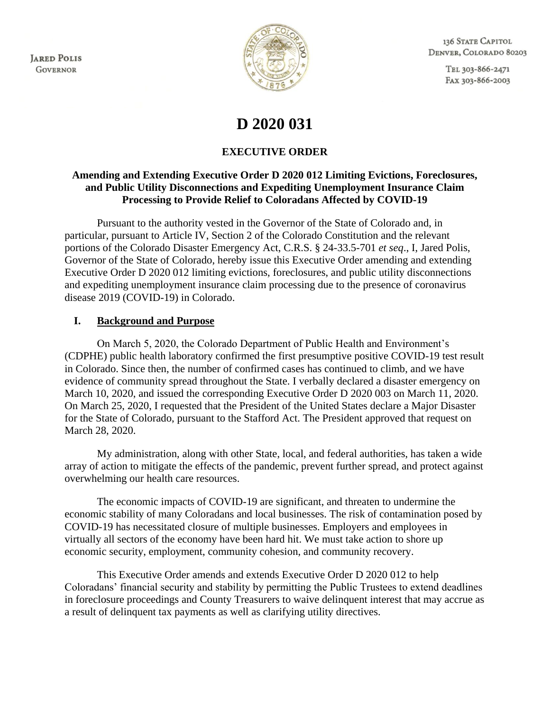**JARED POLIS GOVERNOR** 



136 STATE CAPITOL DENVER, COLORADO 80203

> TEL 303-866-2471 FAX 303-866-2003

# **D 2020 031**

## **EXECUTIVE ORDER**

#### **Amending and Extending Executive Order D 2020 012 Limiting Evictions, Foreclosures, and Public Utility Disconnections and Expediting Unemployment Insurance Claim Processing to Provide Relief to Coloradans Affected by COVID-19**

Pursuant to the authority vested in the Governor of the State of Colorado and, in particular, pursuant to Article IV, Section 2 of the Colorado Constitution and the relevant portions of the Colorado Disaster Emergency Act, C.R.S. § 24-33.5-701 *et seq*., I, Jared Polis, Governor of the State of Colorado, hereby issue this Executive Order amending and extending Executive Order D 2020 012 limiting evictions, foreclosures, and public utility disconnections and expediting unemployment insurance claim processing due to the presence of coronavirus disease 2019 (COVID-19) in Colorado.

### **I. Background and Purpose**

On March 5, 2020, the Colorado Department of Public Health and Environment's (CDPHE) public health laboratory confirmed the first presumptive positive COVID-19 test result in Colorado. Since then, the number of confirmed cases has continued to climb, and we have evidence of community spread throughout the State. I verbally declared a disaster emergency on March 10, 2020, and issued the corresponding Executive Order D 2020 003 on March 11, 2020. On March 25, 2020, I requested that the President of the United States declare a Major Disaster for the State of Colorado, pursuant to the Stafford Act. The President approved that request on March 28, 2020.

My administration, along with other State, local, and federal authorities, has taken a wide array of action to mitigate the effects of the pandemic, prevent further spread, and protect against overwhelming our health care resources.

The economic impacts of COVID-19 are significant, and threaten to undermine the economic stability of many Coloradans and local businesses. The risk of contamination posed by COVID-19 has necessitated closure of multiple businesses. Employers and employees in virtually all sectors of the economy have been hard hit. We must take action to shore up economic security, employment, community cohesion, and community recovery.

This Executive Order amends and extends Executive Order D 2020 012 to help Coloradans' financial security and stability by permitting the Public Trustees to extend deadlines in foreclosure proceedings and County Treasurers to waive delinquent interest that may accrue as a result of delinquent tax payments as well as clarifying utility directives.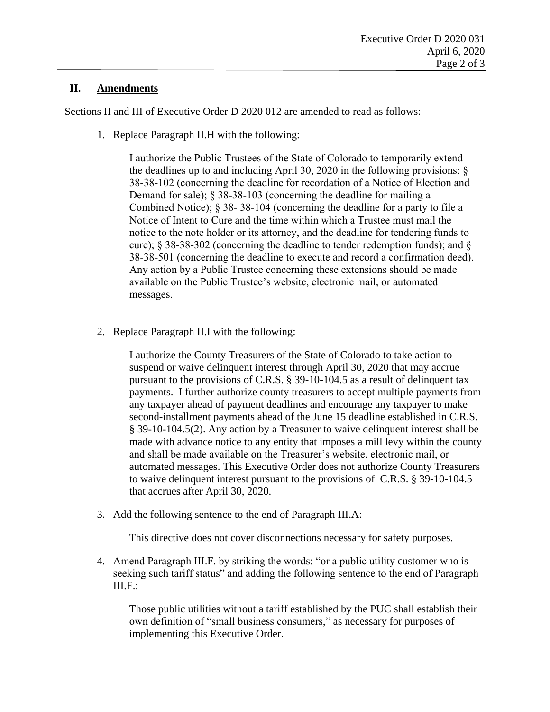#### **II. Amendments**

Sections II and III of Executive Order D 2020 012 are amended to read as follows:

1. Replace Paragraph II.H with the following:

I authorize the Public Trustees of the State of Colorado to temporarily extend the deadlines up to and including April 30, 2020 in the following provisions: § 38-38-102 (concerning the deadline for recordation of a Notice of Election and Demand for sale); § 38-38-103 (concerning the deadline for mailing a Combined Notice); § 38- 38-104 (concerning the deadline for a party to file a Notice of Intent to Cure and the time within which a Trustee must mail the notice to the note holder or its attorney, and the deadline for tendering funds to cure); § 38-38-302 (concerning the deadline to tender redemption funds); and § 38-38-501 (concerning the deadline to execute and record a confirmation deed). Any action by a Public Trustee concerning these extensions should be made available on the Public Trustee's website, electronic mail, or automated messages.

2. Replace Paragraph II.I with the following:

I authorize the County Treasurers of the State of Colorado to take action to suspend or waive delinquent interest through April 30, 2020 that may accrue pursuant to the provisions of C.R.S. § 39-10-104.5 as a result of delinquent tax payments. I further authorize county treasurers to accept multiple payments from any taxpayer ahead of payment deadlines and encourage any taxpayer to make second-installment payments ahead of the June 15 deadline established in C.R.S. § 39-10-104.5(2). Any action by a Treasurer to waive delinquent interest shall be made with advance notice to any entity that imposes a mill levy within the county and shall be made available on the Treasurer's website, electronic mail, or automated messages. This Executive Order does not authorize County Treasurers to waive delinquent interest pursuant to the provisions of C.R.S. § 39-10-104.5 that accrues after April 30, 2020.

3. Add the following sentence to the end of Paragraph III.A:

This directive does not cover disconnections necessary for safety purposes.

4. Amend Paragraph III.F. by striking the words: "or a public utility customer who is seeking such tariff status" and adding the following sentence to the end of Paragraph III.F.:

Those public utilities without a tariff established by the PUC shall establish their own definition of "small business consumers," as necessary for purposes of implementing this Executive Order.